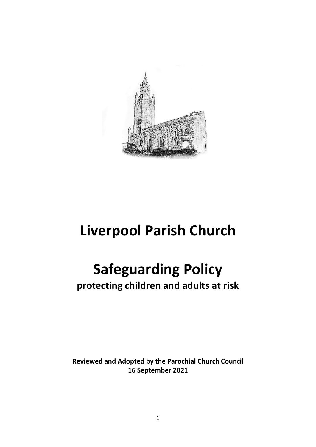

## **Liverpool Parish Church**

# **Safeguarding Policy**

**protecting children and adults at risk**

**Reviewed and Adopted by the Parochial Church Council 16 September 2021**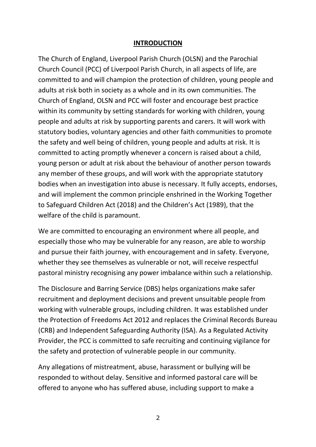#### **INTRODUCTION**

The Church of England, Liverpool Parish Church (OLSN) and the Parochial Church Council (PCC) of Liverpool Parish Church, in all aspects of life, are committed to and will champion the protection of children, young people and adults at risk both in society as a whole and in its own communities. The Church of England, OLSN and PCC will foster and encourage best practice within its community by setting standards for working with children, young people and adults at risk by supporting parents and carers. It will work with statutory bodies, voluntary agencies and other faith communities to promote the safety and well being of children, young people and adults at risk. It is committed to acting promptly whenever a concern is raised about a child, young person or adult at risk about the behaviour of another person towards any member of these groups, and will work with the appropriate statutory bodies when an investigation into abuse is necessary. It fully accepts, endorses, and will implement the common principle enshrined in the Working Together to Safeguard Children Act (2018) and the Children's Act (1989), that the welfare of the child is paramount.

We are committed to encouraging an environment where all people, and especially those who may be vulnerable for any reason, are able to worship and pursue their faith journey, with encouragement and in safety. Everyone, whether they see themselves as vulnerable or not, will receive respectful pastoral ministry recognising any power imbalance within such a relationship.

The Disclosure and Barring Service (DBS) helps organizations make safer recruitment and deployment decisions and prevent unsuitable people from working with vulnerable groups, including children. It was established under the Protection of Freedoms Act 2012 and replaces the Criminal Records Bureau (CRB) and Independent Safeguarding Authority (ISA). As a Regulated Activity Provider, the PCC is committed to safe recruiting and continuing vigilance for the safety and protection of vulnerable people in our community.

Any allegations of mistreatment, abuse, harassment or bullying will be responded to without delay. Sensitive and informed pastoral care will be offered to anyone who has suffered abuse, including support to make a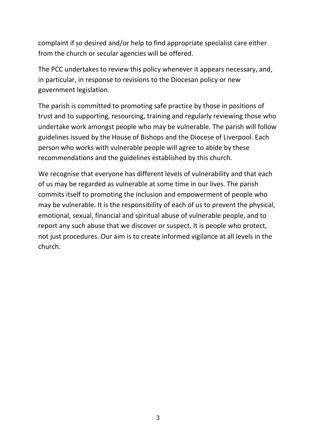complaint if so desired and/or help to find appropriate specialist care either from the church or secular agencies will be offered.

The PCC undertakes to review this policy whenever it appears necessary, and, in particular, in response to revisions to the Diocesan policy or new government legislation.

The parish is committed to promoting safe practice by those in positions of trust and to supporting, resourcing, training and regularly reviewing those who undertake work amongst people who may be vulnerable. The parish will follow guidelines issued by the House of Bishops and the Diocese of Liverpool. Each person who works with vulnerable people will agree to abide by these recommendations and the guidelines established by this church.

We recognise that everyone has different levels of vulnerability and that each of us may be regarded as vulnerable at some time in our lives. The parish commits itself to promoting the inclusion and empowerment of people who may be vulnerable. It is the responsibility of each of us to prevent the physical, emotional, sexual, financial and spiritual abuse of vulnerable people, and to report any such abuse that we discover or suspect. It is people who protect, not just procedures. Our aim is to create informed vigilance at all levels in the church.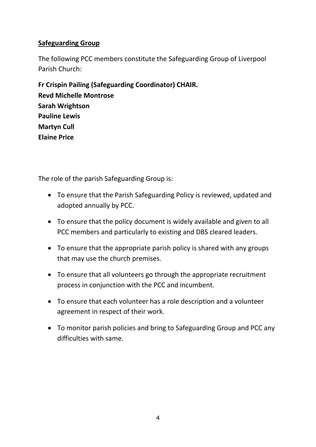## **Safeguarding Group**

The following PCC members constitute the Safeguarding Group of Liverpool Parish Church:

**Fr Crispin Pailing (Safeguarding Coordinator) CHAIR. Revd Michelle Montrose Sarah Wrightson Pauline Lewis Martyn Cull Elaine Price**

The role of the parish Safeguarding Group is:

- To ensure that the Parish Safeguarding Policy is reviewed, updated and adopted annually by PCC.
- To ensure that the policy document is widely available and given to all PCC members and particularly to existing and DBS cleared leaders.
- To ensure that the appropriate parish policy is shared with any groups that may use the church premises.
- To ensure that all volunteers go through the appropriate recruitment process in conjunction with the PCC and incumbent.
- To ensure that each volunteer has a role description and a volunteer agreement in respect of their work.
- To monitor parish policies and bring to Safeguarding Group and PCC any difficulties with same.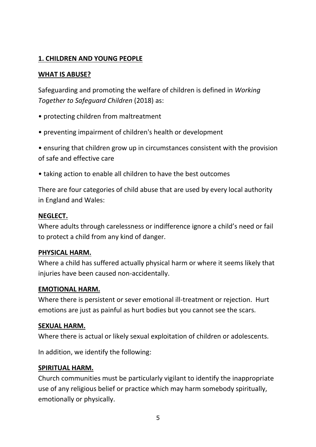## **1. CHILDREN AND YOUNG PEOPLE**

## **WHAT IS ABUSE?**

Safeguarding and promoting the welfare of children is defined in *Working Together to Safeguard Children* (2018) as:

- protecting children from maltreatment
- preventing impairment of children's health or development

• ensuring that children grow up in circumstances consistent with the provision of safe and effective care

• taking action to enable all children to have the best outcomes

There are four categories of child abuse that are used by every local authority in England and Wales:

#### **NEGLECT.**

Where adults through carelessness or indifference ignore a child's need or fail to protect a child from any kind of danger.

## **PHYSICAL HARM.**

Where a child has suffered actually physical harm or where it seems likely that injuries have been caused non-accidentally.

#### **EMOTIONAL HARM.**

Where there is persistent or sever emotional ill-treatment or rejection. Hurt emotions are just as painful as hurt bodies but you cannot see the scars.

## **SEXUAL HARM.**

Where there is actual or likely sexual exploitation of children or adolescents.

In addition, we identify the following:

## **SPIRITUAL HARM.**

Church communities must be particularly vigilant to identify the inappropriate use of any religious belief or practice which may harm somebody spiritually, emotionally or physically.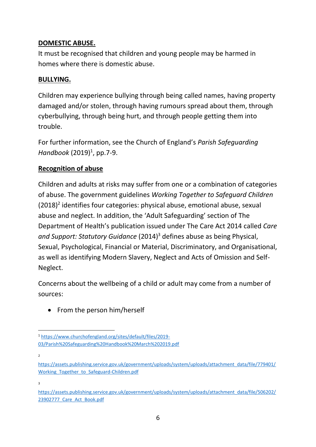## **DOMESTIC ABUSE.**

It must be recognised that children and young people may be harmed in homes where there is domestic abuse.

#### **BULLYING.**

Children may experience bullying through being called names, having property damaged and/or stolen, through having rumours spread about them, through cyberbullying, through being hurt, and through people getting them into trouble.

For further information, see the Church of England's *Parish Safeguarding*  Handbook (2019)<sup>1</sup>, pp.7-9.

## **Recognition of abuse**

Children and adults at risks may suffer from one or a combination of categories of abuse. The government guidelines *Working Together to Safeguard Children* (2018) 2 identifies four categories: physical abuse, emotional abuse, sexual abuse and neglect. In addition, the 'Adult Safeguarding' section of The Department of Health's publication issued under The Care Act 2014 called *Care and Support: Statutory Guidance* (2014)<sup>3</sup> defines abuse as being Physical, Sexual, Psychological, Financial or Material, Discriminatory, and Organisational, as well as identifying Modern Slavery, Neglect and Acts of Omission and Self-Neglect.

Concerns about the wellbeing of a child or adult may come from a number of sources:

• From the person him/herself

[https://assets.publishing.service.gov.uk/government/uploads/system/uploads/attachment\\_data/file/779401/](https://assets.publishing.service.gov.uk/government/uploads/system/uploads/attachment_data/file/779401/Working_Together_to_Safeguard-Children.pdf) Working Together to Safeguard-Children.pdf

2

<sup>1</sup> [https://www.churchofengland.org/sites/default/files/2019-](https://www.churchofengland.org/sites/default/files/2019-03/Parish%20Safeguarding%20Handbook%20March%202019.pdf) [03/Parish%20Safeguarding%20Handbook%20March%202019.pdf](https://www.churchofengland.org/sites/default/files/2019-03/Parish%20Safeguarding%20Handbook%20March%202019.pdf)

 $\overline{a}$ 

[https://assets.publishing.service.gov.uk/government/uploads/system/uploads/attachment\\_data/file/506202/](https://assets.publishing.service.gov.uk/government/uploads/system/uploads/attachment_data/file/506202/23902777_Care_Act_Book.pdf) 23902777 Care Act Book.pdf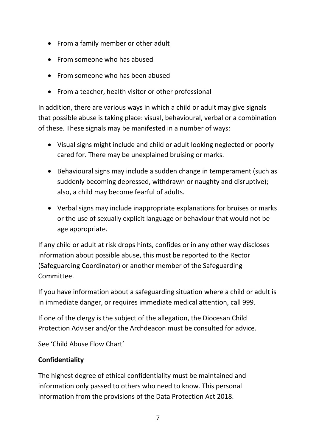- From a family member or other adult
- From someone who has abused
- From someone who has been abused
- From a teacher, health visitor or other professional

In addition, there are various ways in which a child or adult may give signals that possible abuse is taking place: visual, behavioural, verbal or a combination of these. These signals may be manifested in a number of ways:

- Visual signs might include and child or adult looking neglected or poorly cared for. There may be unexplained bruising or marks.
- Behavioural signs may include a sudden change in temperament (such as suddenly becoming depressed, withdrawn or naughty and disruptive); also, a child may become fearful of adults.
- Verbal signs may include inappropriate explanations for bruises or marks or the use of sexually explicit language or behaviour that would not be age appropriate.

If any child or adult at risk drops hints, confides or in any other way discloses information about possible abuse, this must be reported to the Rector (Safeguarding Coordinator) or another member of the Safeguarding Committee.

If you have information about a safeguarding situation where a child or adult is in immediate danger, or requires immediate medical attention, call 999.

If one of the clergy is the subject of the allegation, the Diocesan Child Protection Adviser and/or the Archdeacon must be consulted for advice.

See 'Child Abuse Flow Chart'

## **Confidentiality**

The highest degree of ethical confidentiality must be maintained and information only passed to others who need to know. This personal information from the provisions of the Data Protection Act 2018.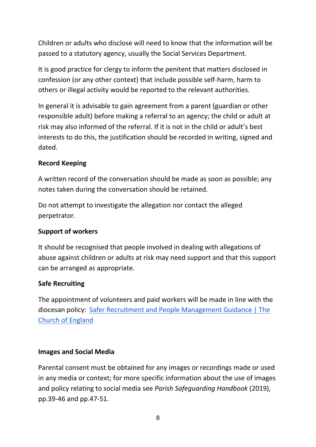Children or adults who disclose will need to know that the information will be passed to a statutory agency, usually the Social Services Department.

It is good practice for clergy to inform the penitent that matters disclosed in confession (or any other context) that include possible self-harm, harm to others or illegal activity would be reported to the relevant authorities.

In general it is advisable to gain agreement from a parent (guardian or other responsible adult) before making a referral to an agency; the child or adult at risk may also informed of the referral. If it is not in the child or adult's best interests to do this, the justification should be recorded in writing, signed and dated.

## **Record Keeping**

A written record of the conversation should be made as soon as possible; any notes taken during the conversation should be retained.

Do not attempt to investigate the allegation nor contact the alleged perpetrator.

## **Support of workers**

It should be recognised that people involved in dealing with allegations of abuse against children or adults at risk may need support and that this support can be arranged as appropriate.

## **Safe Recruiting**

The appointment of volunteers and paid workers will be made in line with the diocesan policy: [Safer Recruitment and People Management Guidance | The](https://www.churchofengland.org/safeguarding/safeguarding-e-manual/safer-recruitment-and-people-management-guidance)  [Church of England](https://www.churchofengland.org/safeguarding/safeguarding-e-manual/safer-recruitment-and-people-management-guidance)

## **Images and Social Media**

Parental consent must be obtained for any images or recordings made or used in any media or context; for more specific information about the use of images and policy relating to social media see *Parish Safeguarding Handbook* (2019), pp.39-46 and pp.47-51.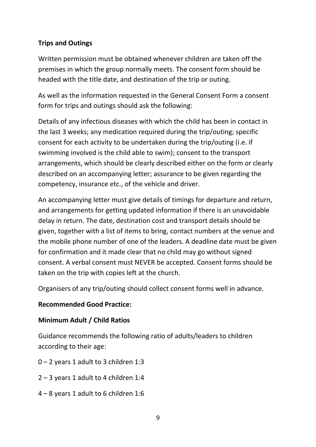## **Trips and Outings**

Written permission must be obtained whenever children are taken off the premises in which the group normally meets. The consent form should be headed with the title date, and destination of the trip or outing.

As well as the information requested in the General Consent Form a consent form for trips and outings should ask the following:

Details of any infectious diseases with which the child has been in contact in the last 3 weeks; any medication required during the trip/outing; specific consent for each activity to be undertaken during the trip/outing (i.e. if swimming involved is the child able to swim); consent to the transport arrangements, which should be clearly described either on the form or clearly described on an accompanying letter; assurance to be given regarding the competency, insurance etc., of the vehicle and driver.

An accompanying letter must give details of timings for departure and return, and arrangements for getting updated information if there is an unavoidable delay in return. The date, destination cost and transport details should be given, together with a list of items to bring, contact numbers at the venue and the mobile phone number of one of the leaders. A deadline date must be given for confirmation and it made clear that no child may go without signed consent. A verbal consent must NEVER be accepted. Consent forms should be taken on the trip with copies left at the church.

Organisers of any trip/outing should collect consent forms well in advance.

#### **Recommended Good Practice:**

#### **Minimum Adult / Child Ratios**

Guidance recommends the following ratio of adults/leaders to children according to their age:

- 0 2 years 1 adult to 3 children 1:3
- 2 3 years 1 adult to 4 children 1:4
- 4 8 years 1 adult to 6 children 1:6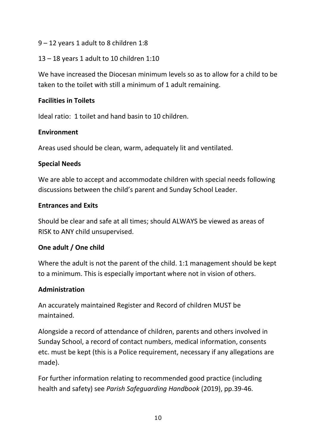- 9 12 years 1 adult to 8 children 1:8
- 13 18 years 1 adult to 10 children 1:10

We have increased the Diocesan minimum levels so as to allow for a child to be taken to the toilet with still a minimum of 1 adult remaining.

## **Facilities in Toilets**

Ideal ratio: 1 toilet and hand basin to 10 children.

## **Environment**

Areas used should be clean, warm, adequately lit and ventilated.

## **Special Needs**

We are able to accept and accommodate children with special needs following discussions between the child's parent and Sunday School Leader.

## **Entrances and Exits**

Should be clear and safe at all times; should ALWAYS be viewed as areas of RISK to ANY child unsupervised.

## **One adult / One child**

Where the adult is not the parent of the child. 1:1 management should be kept to a minimum. This is especially important where not in vision of others.

## **Administration**

An accurately maintained Register and Record of children MUST be maintained.

Alongside a record of attendance of children, parents and others involved in Sunday School, a record of contact numbers, medical information, consents etc. must be kept (this is a Police requirement, necessary if any allegations are made).

For further information relating to recommended good practice (including health and safety) see *Parish Safeguarding Handbook* (2019), pp.39-46.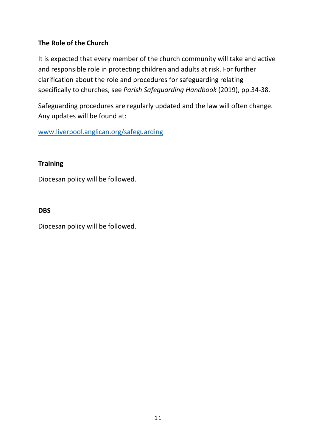## **The Role of the Church**

It is expected that every member of the church community will take and active and responsible role in protecting children and adults at risk. For further clarification about the role and procedures for safeguarding relating specifically to churches, see *Parish Safeguarding Handbook* (2019), pp.34-38.

Safeguarding procedures are regularly updated and the law will often change. Any updates will be found at:

[www.liverpool.anglican.org/safeguarding](http://www.liverpool.anglican.org/safeguarding)

#### **Training**

Diocesan policy will be followed.

#### **DBS**

Diocesan policy will be followed.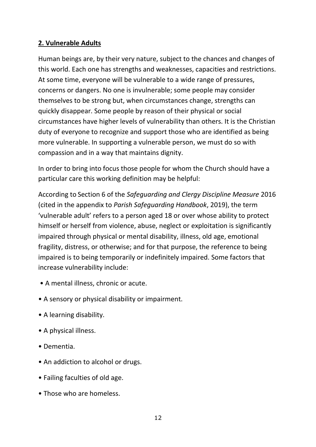## **2. Vulnerable Adults**

Human beings are, by their very nature, subject to the chances and changes of this world. Each one has strengths and weaknesses, capacities and restrictions. At some time, everyone will be vulnerable to a wide range of pressures, concerns or dangers. No one is invulnerable; some people may consider themselves to be strong but, when circumstances change, strengths can quickly disappear. Some people by reason of their physical or social circumstances have higher levels of vulnerability than others. It is the Christian duty of everyone to recognize and support those who are identified as being more vulnerable. In supporting a vulnerable person, we must do so with compassion and in a way that maintains dignity.

In order to bring into focus those people for whom the Church should have a particular care this working definition may be helpful:

According to Section 6 of the *Safeguarding and Clergy Discipline Measure* 2016 (cited in the appendix to *Parish Safeguarding Handbook*, 2019), the term 'vulnerable adult' refers to a person aged 18 or over whose ability to protect himself or herself from violence, abuse, neglect or exploitation is significantly impaired through physical or mental disability, illness, old age, emotional fragility, distress, or otherwise; and for that purpose, the reference to being impaired is to being temporarily or indefinitely impaired. Some factors that increase vulnerability include:

- A mental illness, chronic or acute.
- A sensory or physical disability or impairment.
- A learning disability.
- A physical illness.
- Dementia.
- An addiction to alcohol or drugs.
- Failing faculties of old age.
- Those who are homeless.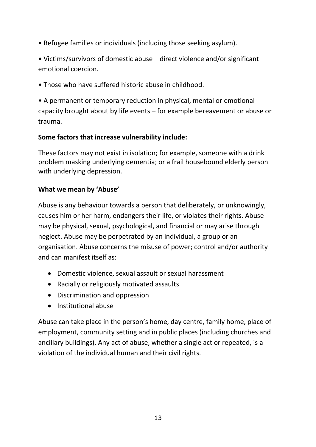- Refugee families or individuals (including those seeking asylum).
- Victims/survivors of domestic abuse direct violence and/or significant emotional coercion.
- Those who have suffered historic abuse in childhood.

• A permanent or temporary reduction in physical, mental or emotional capacity brought about by life events – for example bereavement or abuse or trauma.

## **Some factors that increase vulnerability include:**

These factors may not exist in isolation; for example, someone with a drink problem masking underlying dementia; or a frail housebound elderly person with underlying depression.

## **What we mean by 'Abuse'**

Abuse is any behaviour towards a person that deliberately, or unknowingly, causes him or her harm, endangers their life, or violates their rights. Abuse may be physical, sexual, psychological, and financial or may arise through neglect. Abuse may be perpetrated by an individual, a group or an organisation. Abuse concerns the misuse of power; control and/or authority and can manifest itself as:

- Domestic violence, sexual assault or sexual harassment
- Racially or religiously motivated assaults
- Discrimination and oppression
- Institutional abuse

Abuse can take place in the person's home, day centre, family home, place of employment, community setting and in public places (including churches and ancillary buildings). Any act of abuse, whether a single act or repeated, is a violation of the individual human and their civil rights.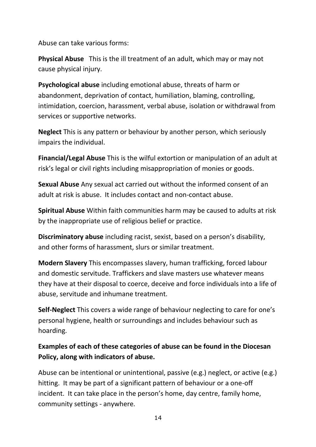Abuse can take various forms:

**Physical Abuse** This is the ill treatment of an adult, which may or may not cause physical injury.

**Psychological abuse** including emotional abuse, threats of harm or abandonment, deprivation of contact, humiliation, blaming, controlling, intimidation, coercion, harassment, verbal abuse, isolation or withdrawal from services or supportive networks.

**Neglect** This is any pattern or behaviour by another person, which seriously impairs the individual.

**Financial/Legal Abuse** This is the wilful extortion or manipulation of an adult at risk's legal or civil rights including misappropriation of monies or goods.

**Sexual Abuse** Any sexual act carried out without the informed consent of an adult at risk is abuse. It includes contact and non-contact abuse.

**Spiritual Abuse** Within faith communities harm may be caused to adults at risk by the inappropriate use of religious belief or practice.

**Discriminatory abuse** including racist, sexist, based on a person's disability, and other forms of harassment, slurs or similar treatment.

**Modern Slavery** This encompasses slavery, human trafficking, forced labour and domestic servitude. Traffickers and slave masters use whatever means they have at their disposal to coerce, deceive and force individuals into a life of abuse, servitude and inhumane treatment.

**Self-Neglect** This covers a wide range of behaviour neglecting to care for one's personal hygiene, health or surroundings and includes behaviour such as hoarding.

## **Examples of each of these categories of abuse can be found in the Diocesan Policy, along with indicators of abuse.**

Abuse can be intentional or unintentional, passive (e.g.) neglect, or active (e.g.) hitting. It may be part of a significant pattern of behaviour or a one-off incident. It can take place in the person's home, day centre, family home, community settings - anywhere.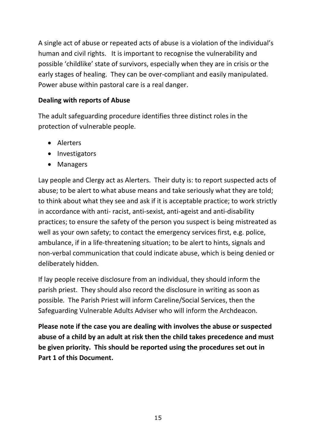A single act of abuse or repeated acts of abuse is a violation of the individual's human and civil rights. It is important to recognise the vulnerability and possible 'childlike' state of survivors, especially when they are in crisis or the early stages of healing. They can be over-compliant and easily manipulated. Power abuse within pastoral care is a real danger.

#### **Dealing with reports of Abuse**

The adult safeguarding procedure identifies three distinct roles in the protection of vulnerable people.

- Alerters
- Investigators
- Managers

Lay people and Clergy act as Alerters. Their duty is: to report suspected acts of abuse; to be alert to what abuse means and take seriously what they are told; to think about what they see and ask if it is acceptable practice; to work strictly in accordance with anti- racist, anti-sexist, anti-ageist and anti-disability practices; to ensure the safety of the person you suspect is being mistreated as well as your own safety; to contact the emergency services first, e.g. police, ambulance, if in a life-threatening situation; to be alert to hints, signals and non-verbal communication that could indicate abuse, which is being denied or deliberately hidden.

If lay people receive disclosure from an individual, they should inform the parish priest. They should also record the disclosure in writing as soon as possible. The Parish Priest will inform Careline/Social Services, then the Safeguarding Vulnerable Adults Adviser who will inform the Archdeacon.

**Please note if the case you are dealing with involves the abuse or suspected abuse of a child by an adult at risk then the child takes precedence and must be given priority. This should be reported using the procedures set out in Part 1 of this Document.**